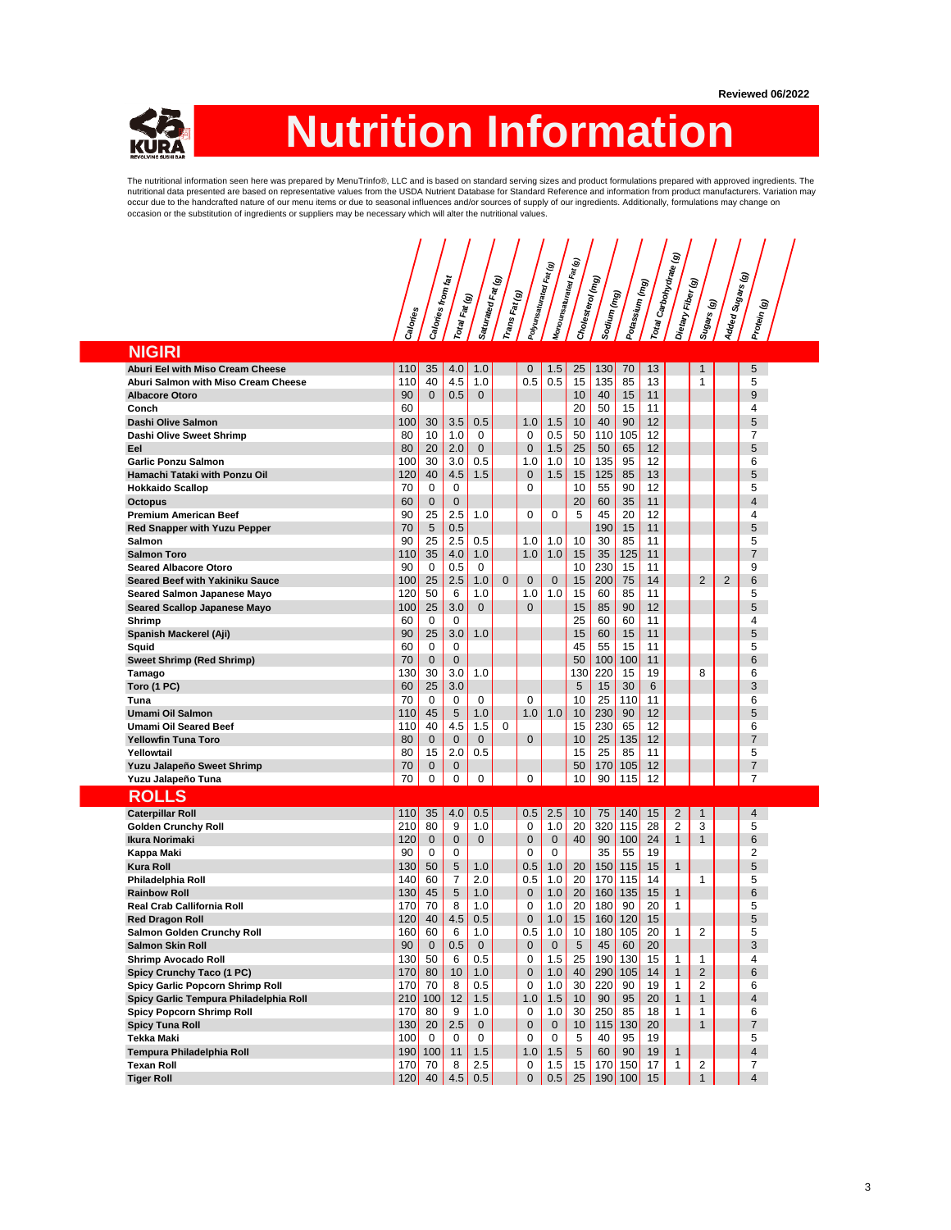

## **Nutrition Information**

The nutritional information seen here was prepared by MenuTrinfo®, LLC and is based on standard serving sizes and product formulations prepared with approved ingredients. The nutritional data presented are based on representative values from the USDA Nutrient Database for Standard Reference and information from product manufacturers. Variation may occur due to the handcrafted nature of our menu items or due to seasonal influences and/or sources of supply of our ingredients. Additionally, formulations may change on<br>occasion or the substitution of ingredients or suppl

|                                                            |                  |                 |                            |                    |                | <br> Polyunsaturated Fat (g) | Monounsaturated Fat (g) |                  |             |                |                                  | ම              |                      |                |                     |  |
|------------------------------------------------------------|------------------|-----------------|----------------------------|--------------------|----------------|------------------------------|-------------------------|------------------|-------------|----------------|----------------------------------|----------------|----------------------|----------------|---------------------|--|
|                                                            |                  |                 | Æ                          |                    | T              |                              |                         | Cholesterol (mg) |             | Potassium (mg) | Total Carbohydrate <sub>(f</sub> |                | Fiber <sub>(g)</sub> |                | / Sugars (g)        |  |
|                                                            |                  |                 |                            |                    |                |                              |                         |                  |             |                |                                  |                |                      |                |                     |  |
|                                                            |                  |                 |                            |                    |                |                              |                         |                  |             |                |                                  |                |                      |                | ම                   |  |
|                                                            | Calories         | Calories from f | l <sup>Total Fat</sup> (g) | Saturated Fat (    | lTrans Fat (g) |                              |                         |                  | Soqium (mg) |                |                                  | Dietary        | Sugars (g)           | Added          | Protein             |  |
| <b>NIGIRI</b>                                              |                  |                 |                            |                    |                |                              |                         |                  |             |                |                                  |                |                      |                |                     |  |
| Aburi Eel with Miso Cream Cheese                           | 110              | 35              | 4.0                        | 1.0                |                | $\mathbf 0$                  | 1.5                     | 25               | 130         | 70             | 13                               |                |                      |                | 5                   |  |
| Aburi Salmon with Miso Cream Cheese                        | 110              | 40              | 4.5                        | 1.0                |                | 0.5                          | 0.5                     | 15               | 135         | 85             | 13                               |                | 1                    |                | 5                   |  |
| <b>Albacore Otoro</b>                                      | 90               | $\mathbf{0}$    | 0.5                        | $\mathbf{0}$       |                |                              |                         | 10               | 40          | 15             | 11                               |                |                      |                | 9                   |  |
| Conch                                                      | 60               |                 |                            |                    |                |                              |                         | 20               | 50          | 15             | 11                               |                |                      |                | 4                   |  |
| Dashi Olive Salmon                                         | 100              | 30              | 3.5                        | 0.5                |                | 1.0                          | 1.5                     | 10               | 40          | 90             | 12                               |                |                      |                | 5                   |  |
| Dashi Olive Sweet Shrimp                                   | 80               | 10              | 1.0                        | 0                  |                | 0                            | 0.5                     | 50               | 110         | 105            | 12                               |                |                      |                | 7                   |  |
| Eel                                                        | 80               | 20              | 2.0                        | $\mathbf{0}$       |                | $\mathbf{0}$                 | 1.5                     | 25               | 50          | 65             | 12                               |                |                      |                | 5                   |  |
| <b>Garlic Ponzu Salmon</b>                                 | 100              | 30              | 3.0                        | 0.5                |                | 1.0                          | 1.0                     | 10               | 135         | 95             | 12                               |                |                      |                | 6                   |  |
| Hamachi Tataki with Ponzu Oil                              | 120<br>70        | 40<br>0         | 4.5                        | 1.5                |                | $\mathbf{0}$<br>0            | 1.5                     | 15               | 125         | 85<br>90       | 13<br>12                         |                |                      |                | 5<br>5              |  |
| <b>Hokkaido Scallop</b><br><b>Octopus</b>                  | 60               | 0               | 0<br>0                     |                    |                |                              |                         | 10<br>20         | 55<br>60    | 35             | 11                               |                |                      |                | 4                   |  |
| <b>Premium American Beef</b>                               | 90               | 25              | 2.5                        | 1.0                |                | 0                            | 0                       | 5                | 45          | 20             | 12                               |                |                      |                | $\overline{4}$      |  |
| <b>Red Snapper with Yuzu Pepper</b>                        | 70               | 5               | 0.5                        |                    |                |                              |                         |                  | 190         | 15             | 11                               |                |                      |                | 5                   |  |
| Salmon                                                     | 90               | 25              | 2.5                        | 0.5                |                | 1.0                          | 1.0                     | 10               | 30          | 85             | 11                               |                |                      |                | 5                   |  |
| <b>Salmon Toro</b>                                         | 110              | 35              | 4.0                        | 1.0                |                | 1.0                          | 1.0                     | 15               | 35          | 125            | 11                               |                |                      |                | $\overline{7}$      |  |
| <b>Seared Albacore Otoro</b>                               | 90               | 0               | 0.5                        | 0                  |                |                              |                         | 10               | 230         | 15             | 11                               |                |                      |                | 9                   |  |
| Seared Beef with Yakiniku Sauce                            | 100              | 25              | 2.5                        | 1.0                | $\Omega$       | $\mathbf{0}$                 | $\mathbf 0$             | 15               | 200         | 75             | 14                               |                | 2                    | $\overline{2}$ | 6                   |  |
| <b>Seared Salmon Japanese Mayo</b>                         | 120              | 50              | 6                          | 1.0                |                | 1.0                          | 1.0                     | 15               | 60          | 85             | 11                               |                |                      |                | 5                   |  |
| <b>Seared Scallop Japanese Mayo</b>                        | 100              | 25              | 3.0                        | $\mathbf{0}$       |                | $\mathbf{0}$                 |                         | 15               | 85          | 90             | 12                               |                |                      |                | 5                   |  |
| Shrimp                                                     | 60               | 0               | 0                          |                    |                |                              |                         | 25               | 60          | 60             | 11                               |                |                      |                | 4                   |  |
| Spanish Mackerel (Aji)                                     | 90               | 25              | 3.0                        | 1.0                |                |                              |                         | 15               | 60          | 15             | 11                               |                |                      |                | 5                   |  |
| Squid                                                      | 60<br>70         | 0               | 0                          |                    |                |                              |                         | 45<br>50         | 55          | 15             | 11                               |                |                      |                | 5<br>6              |  |
| <b>Sweet Shrimp (Red Shrimp)</b>                           | 130              | 0<br>30         | 0<br>3.0                   | 1.0                |                |                              |                         | 130              | 100<br>220  | 100<br>15      | 11<br>19                         |                | 8                    |                | 6                   |  |
| Tamago<br>Toro (1 PC)                                      | 60               | 25              | 3.0                        |                    |                |                              |                         | 5                | 15          | 30             | 6                                |                |                      |                | 3                   |  |
| Tuna                                                       | 70               | 0               | 0                          | $\Omega$           |                | $\Omega$                     |                         | 10               | 25          | 110            | 11                               |                |                      |                | 6                   |  |
| Umami Oil Salmon                                           | 110              | 45              | 5                          | 1.0                |                | 1.0                          | 1.0                     | 10               | 230         | 90             | 12                               |                |                      |                | 5                   |  |
| Umami Oil Seared Beef                                      | 110              | 40              | 4.5                        | 1.5                | 0              |                              |                         | 15               | 230         | 65             | 12                               |                |                      |                | 6                   |  |
| <b>Yellowfin Tuna Toro</b>                                 | 80               | 0               | 0                          | $\mathbf 0$        |                | $\mathbf{0}$                 |                         | 10               | 25          | 135            | 12                               |                |                      |                | 7                   |  |
| Yellowtail                                                 | 80               | 15              | 2.0                        | 0.5                |                |                              |                         | 15               | 25          | 85             | 11                               |                |                      |                | 5                   |  |
| Yuzu Jalapeño Sweet Shrimp                                 | 70               | 0               | $\mathbf 0$                |                    |                |                              |                         | 50               | 170         | 105            | 12                               |                |                      |                | $\overline{7}$      |  |
| Yuzu Jalapeño Tuna                                         | 70               | 0               | 0                          | 0                  |                | 0                            |                         | 10               | 90          | 115            | 12                               |                |                      |                | 7                   |  |
| <b>ROLLS</b>                                               |                  |                 |                            |                    |                |                              |                         |                  |             |                |                                  |                |                      |                |                     |  |
| <b>Caterpillar Roll</b>                                    | 110              | 35              | 4.0                        | 0.5                |                | 0.5                          | 2.5                     | 10               | 75          | 140            | 15                               | $\overline{2}$ | 1                    |                | 4                   |  |
| <b>Golden Crunchy Roll</b>                                 | 210              | 80              | 9                          | 1.0                |                | 0                            | 1.0                     | 20               | 320         | 115            | 28                               | 2              | 3                    |                | 5                   |  |
| Ikura Norimaki                                             | 120              | $\mathbf{0}$    | $\mathbf 0$                | $\mathbf{0}$       |                | $\mathbf{0}$                 | $\mathbf 0$             | 40               | 90          | 100            | 24                               | $\mathbf{1}$   | 1                    |                | 6                   |  |
| Kappa Maki                                                 | 90               | 0               | 0                          |                    |                | 0                            | 0                       |                  | 35          | 55             | 19                               |                |                      |                | $\overline{2}$      |  |
| <b>Kura Roll</b>                                           | 130<br>140       | 50<br>60        | 5<br>7                     | 1.0<br>2.0         |                | 0.5<br>0.5                   | 1.0<br>1.0              | 20<br>20         | 150<br>170  | 115<br>115     | 15<br>14                         | $\mathbf{1}$   | 1                    |                | 5<br>5              |  |
| Philadelphia Roll<br><b>Rainbow Roll</b>                   | 130              | 45              | 5                          | 1.0                |                | $\mathbf{0}$                 | 1.0                     | 20               | 160         | 135            | 15                               | 1              |                      |                | 6                   |  |
| <b>Real Crab Callifornia Roll</b>                          | 170              | 70              | 8                          | 1.0                |                | 0                            | 1.0                     | 20               | 180         | 90             | 20                               | 1              |                      |                | 5                   |  |
| <b>Red Dragon Roll</b>                                     | 120              | 40              | 4.5                        | 0.5                |                | 0                            | 1.0                     | 15               | 160         | 120            | 15                               |                |                      |                | 5                   |  |
| <b>Salmon Golden Crunchy Roll</b>                          | 160              | 60              | 6                          | 1.0                |                | 0.5                          | 1.0                     | 10               | 180         | 105            | 20                               | 1              | 2                    |                | 5                   |  |
| <b>Salmon Skin Roll</b>                                    | 90               | $\overline{0}$  | 0.5                        | $\Omega$           |                | $\mathbf 0$                  | $\overline{0}$          | 5                | 45          | 60             | 20                               |                |                      |                | 3                   |  |
| <b>Shrimp Avocado Roll</b>                                 | 130              | 50              | 6                          | 0.5                |                | 0                            | 1.5                     | 25               | 190         | 130            | 15                               | 1              | 1                    |                | 4                   |  |
| Spicy Crunchy Taco (1 PC)                                  | 170              | 80              | 10                         | 1.0                |                | 0                            | 1.0                     | 40               |             | $290$ 105      | 14                               | $\mathbf{1}$   | $\overline{2}$       |                | 6                   |  |
| Spicy Garlic Popcorn Shrimp Roll                           | 170 <sub>l</sub> | 70              | 8                          | 0.5                |                | 0                            | 1.0                     | 30               | 220         | 90             | 19                               | $\mathbf{1}$   | 2                    |                | 6                   |  |
| Spicy Garlic Tempura Philadelphia Roll                     |                  | 210 100         | 12                         | 1.5                |                | 1.0                          | 1.5                     | 10               | 90          | 95             | 20                               | $\mathbf{1}$   | $\mathbf{1}$         |                | $\overline{4}$      |  |
| <b>Spicy Popcorn Shrimp Roll</b><br><b>Spicy Tuna Roll</b> | 170<br>130       | 80<br>20        | 9<br>2.5                   | 1.0<br>$\mathbf 0$ |                | 0<br>0                       | 1.0<br>$\mathbf 0$      | 30<br>10         | 250<br>115  | 85<br>130      | 18<br>20                         | $\mathbf{1}$   | 1<br>$\mathbf{1}$    |                | 6<br>$\overline{7}$ |  |
| Tekka Maki                                                 | 100              | 0               | 0                          | 0                  |                | 0                            | 0                       | 5                | 40          | 95             | 19                               |                |                      |                | 5                   |  |
| Tempura Philadelphia Roll                                  |                  | 190 100         | 11                         | 1.5                |                | 1.0                          | 1.5                     | $5\phantom{.0}$  | 60          | 90             | 19                               | $\mathbf{1}$   |                      |                | $\overline{4}$      |  |
| <b>Texan Roll</b>                                          | 170              | 70              | 8                          | 2.5                |                | 0                            | 1.5                     | 15               |             | 170 150        | 17                               | $\mathbf{1}$   | 2                    |                | 7                   |  |
| <b>Tiger Roll</b>                                          | 120              | 40              | 4.5                        | 0.5                |                | $\mathbf 0$                  | 0.5                     | 25               |             | 190 100        | 15                               |                | 1                    |                | $\overline{4}$      |  |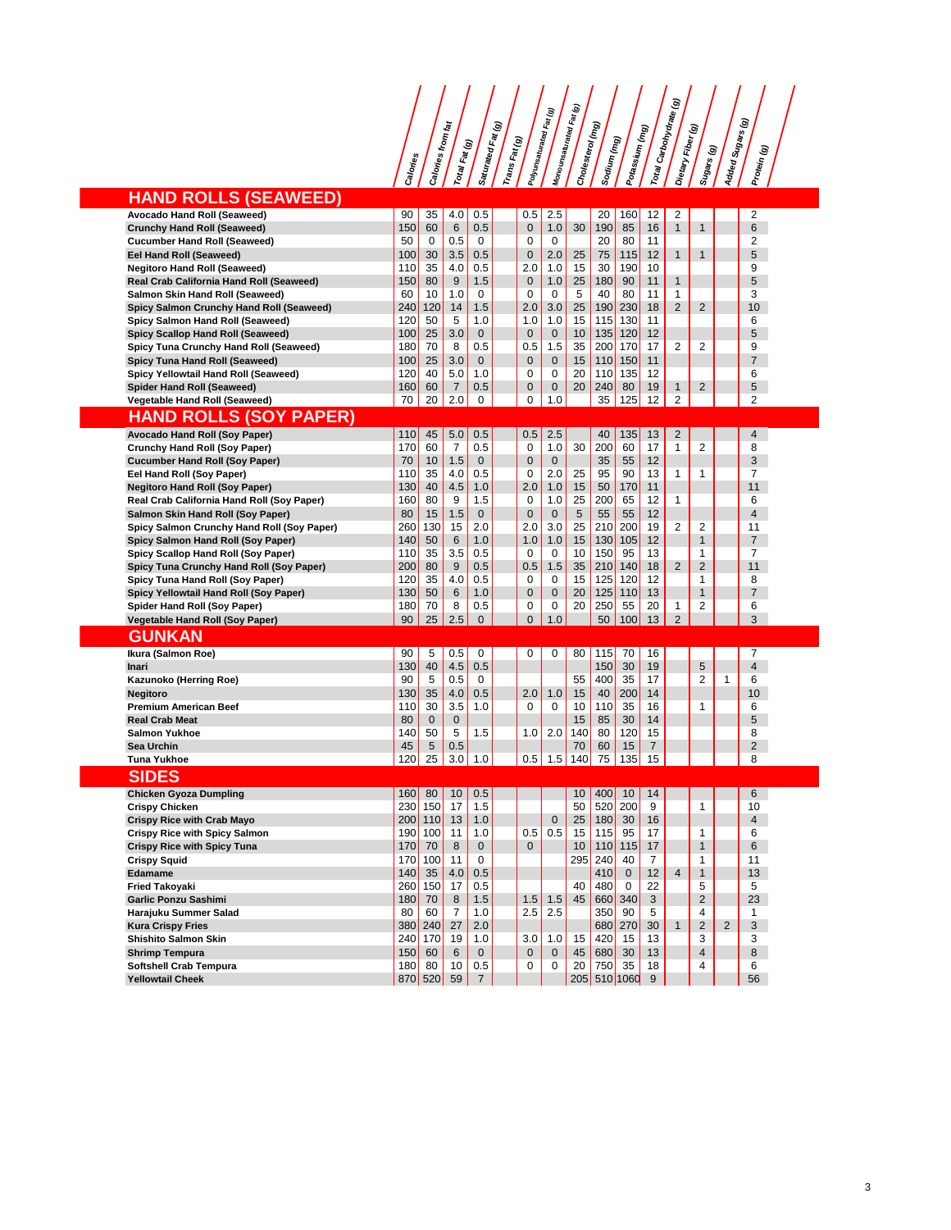## **Calories Calories from fat Total Fat (g) Saturated Fat (g) Trans Fat (g) Polyunsaturated Fat (g) Monounsaturated Fat (g) Cholesterol (mg) Sodium (mg) Potassium (mg)** Total Carbohydrate ( **Dietary Fiber (g) Sugars (g) Added Sugars (g) Protein (g) HAND ROLLS (SEAWEED) Avocado Hand Roll (Seaweed)** 90 35 4.0 0.5 0.5 2.5 20 160 12 2<br>**Crunchy Hand Roll (Seaweed)** 150 60 6 0.5 0.1 1.0 30 190 85 16 1 1 6 **Crunchy Hand Roll (Seaweed)** 150 60 6 0.5 0<br> **Cucumber Hand Roll (Seaweed)** 50 0 0.5 0 0 0.5 0 0 0.5 16 16 16 16 16 16 16 17 180 85 16 16 16 17 181 **Cucumber Hand Roll (Seaweed)** 50 0 0.5 0 0 0.5 0 0 2.0 25 75 115 12 1 1 2 3<br> **Eel Hand Roll (Seaweed)** 100 30 3.5 0.5 0 2.0 25 75 115 12 1 1 5 **Eel Hand Roll (Seaweed)** 100 30 3.5 0.5 0 2.0 2.0 25 75 115 12 1 1 5 5<br>**Negitoro Hand Roll (Seaweed)** 10 35 4.0 0.5 2.0 1.0 15 30 190 10 1 **Negitoro Hand Roll (Seaweed)** 110 35 4.0 0.5 2.0 1.0 15 30 190 10<br>**Real Crab California Hand Roll (Seaweed)** 150 80 9 1.5 0 1.0 25 180 90 11 **Real Crab California Hand Roll (Seaweed)** 150 80 9 1.5 0 1.0 25 180 90 11 1 5 **Salmon Skin Hand Roll (Seaweed)** 60 10 1.0 0 0 0 5 40 80 11 1 3 3<br> **Spicy Salmon Crunchy Hand Roll (Seaweed)** 240 120 14 1.5 2.0 3.0 25 190 230 18 2 2 10 **Spicy Salmon Crunchy Hand Roll (Seaweed)** 240 120 14 1.5 2.0 3.0 25 190 230 18 2 2 10 **Spicy Salmon Hand Roll (Seaweed)** 120 50 5 1.0 1.0 1.0 1.0 15 115 130 11<br> **Spicy Scallop Hand Roll (Seaweed)** 10 25 3.0 0 0 0 10 135 120 12 5<br> **Spicy Tuna Crunchy Hand Roll (Seaweed)** 180 70 8 0.5 0.5 1.5 35 200 170 17 2 **Spicy Scallop Hand Roll (Seaweed)** 100 25 3.0 0 0 0 0 10 135 120 12 5<br> **Spicy Tuna Crunchy Hand Roll (Seaweed)** 180 70 8 0.5 0.5 1.5 35 200 170 17 2 2 9 9 **Spicy Tuna Crunchy Hand Roll (Seaweed)** 180 70 8 0.5 0.5 1.5 35 200 170 17 2 2 9<br> **Spicy Tuna Hand Roll (Seaweed)** 100 25 3.0 0 0 0 15 110 150 11 **Spicy Tuna Hand Roll (Seaweed)** 100 25 3.0 0 0 0 15 110 150 11<br> **Spicy Yellowtail Hand Roll (Seaweed)** 120 40 5.0 1.0 0 0 20 110 135 12 6 **Spicy Yellowtail Hand Roll (Seaweed)** 120 40 5.0 1.0 0 0 20 110 135 12<br> **Spider Hand Roll (Seaweed)** 160 7 0.5 0 0 20 240 80 19 1 2 **Spider Hand Roll (Seaweed)** 160 60 7 0.5 0 0 20 240 80<br> **Vegetable Hand Roll (Seaweed)** 70 20 2.0 0 0 1.0 35 125 **Vegetable Hand Roll (Seaweed)** 70 20 2.0 0 1.0 35 125 12 2 2 2 **HAND ROLLS (SOY PAPER)**

| Avocado Hand Roll (Soy Paper)              | 110 | 45           | 5.0            | 0.5          | 0.5            | 2.5          |     | 40  | 135          | 13             | $\overline{2}$ |                |                | 4              |  |
|--------------------------------------------|-----|--------------|----------------|--------------|----------------|--------------|-----|-----|--------------|----------------|----------------|----------------|----------------|----------------|--|
| <b>Crunchy Hand Roll (Soy Paper)</b>       | 170 | 60           | 7              | 0.5          | $\Omega$       | 1.0          | 30  | 200 | 60           | 17             | 1              | 2              |                | 8              |  |
| <b>Cucumber Hand Roll (Soy Paper)</b>      | 70  | 10           | 1.5            | $\mathbf{0}$ | $\overline{0}$ | $\mathbf{0}$ |     | 35  | 55           | 12             |                |                |                | 3              |  |
| Eel Hand Roll (Soy Paper)                  | 110 | 35           | 4.0            | 0.5          | 0              | 2.0          | 25  | 95  | 90           | 13             | 1              | 1              |                | $\overline{7}$ |  |
| <b>Negitoro Hand Roll (Soy Paper)</b>      | 130 | 40           | 4.5            | 1.0          | 2.0            | 1.0          | 15  | 50  | 170          | 11             |                |                |                | 11             |  |
| Real Crab California Hand Roll (Soy Paper) | 160 | 80           | 9              | 1.5          | 0              | 1.0          | 25  | 200 | 65           | 12             | 1              |                |                | 6              |  |
| Salmon Skin Hand Roll (Soy Paper)          | 80  | 15           | 1.5            | $\Omega$     | $\overline{0}$ | $\mathbf{0}$ | 5   | 55  | 55           | 12             |                |                |                | $\overline{4}$ |  |
| Spicy Salmon Crunchy Hand Roll (Soy Paper) | 260 | 130          | 15             | 2.0          | 2.0            | 3.0          | 25  | 210 | 200          | 19             | 2              | 2              |                | 11             |  |
| Spicy Salmon Hand Roll (Soy Paper)         | 140 | 50           | 6              | 1.0          | 1.0            | 1.0          | 15  | 130 | 105          | 12             |                | $\mathbf{1}$   |                | $\overline{7}$ |  |
| Spicy Scallop Hand Roll (Soy Paper)        | 110 | 35           | 3.5            | 0.5          | $\Omega$       | $\Omega$     | 10  | 150 | 95           | 13             |                | 1              |                | $\overline{7}$ |  |
| Spicy Tuna Crunchy Hand Roll (Soy Paper)   | 200 | 80           | 9              | 0.5          | 0.5            | 1.5          | 35  | 210 | 140          | 18             | 2              | $\overline{2}$ |                | 11             |  |
| Spicy Tuna Hand Roll (Soy Paper)           | 120 | 35           | 4.0            | 0.5          | $\Omega$       | $\Omega$     | 15  | 125 | 120          | 12             |                | 1              |                | 8              |  |
| Spicy Yellowtail Hand Roll (Soy Paper)     | 130 | 50           | 6              | 1.0          | 0              | $\mathbf{0}$ | 20  | 125 | 110          | 13             |                | $\mathbf{1}$   |                | $\overline{7}$ |  |
| Spider Hand Roll (Soy Paper)               | 180 | 70           | 8              | 0.5          | $\Omega$       | $\Omega$     | 20  | 250 | 55           | 20             | 1              | 2              |                | 6              |  |
| Vegetable Hand Roll (Soy Paper)            | 90  | 25           | 2.5            | $\Omega$     | $\Omega$       | 1.0          |     | 50  | 100          | 13             | $\overline{2}$ |                |                | 3              |  |
| <b>GUNKAN</b>                              |     |              |                |              |                |              |     |     |              |                |                |                |                |                |  |
| Ikura (Salmon Roe)                         | 90  | 5            | 0.5            | $\Omega$     | $\Omega$       | $\Omega$     | 80  | 115 | 70           | 16             |                |                |                | $\overline{7}$ |  |
| Inari                                      | 130 | 40           | 4.5            | 0.5          |                |              |     | 150 | 30           | 19             |                | 5              |                | $\overline{4}$ |  |
| Kazunoko (Herring Roe)                     | 90  | 5            | 0.5            | $\Omega$     |                |              | 55  | 400 | 35           | 17             |                | 2              | 1              | 6              |  |
| Negitoro                                   | 130 | 35           | 4.0            | 0.5          | 2.0            | 1.0          | 15  | 40  | 200          | 14             |                |                |                | 10             |  |
| <b>Premium American Beef</b>               | 110 | 30           | 3.5            | 1.0          | $\Omega$       | $\Omega$     | 10  | 110 | 35           | 16             |                | 1              |                | 6              |  |
| <b>Real Crab Meat</b>                      | 80  | $\mathbf{0}$ | $\mathbf{0}$   |              |                |              | 15  | 85  | 30           | 14             |                |                |                | 5              |  |
| Salmon Yukhoe                              | 140 | 50           | 5              | 1.5          | 1.0            | 2.0          | 140 | 80  | 120          | 15             |                |                |                | 8              |  |
| <b>Sea Urchin</b>                          | 45  | 5            | 0.5            |              |                |              | 70  | 60  | 15           | $\overline{7}$ |                |                |                | $\overline{2}$ |  |
| <b>Tuna Yukhoe</b>                         | 120 | 25           | 3.0            | 1.0          | 0.5            | 1.5          | 140 | 75  | 135          | 15             |                |                |                | 8              |  |
| <b>SIDES</b>                               |     |              |                |              |                |              |     |     |              |                |                |                |                |                |  |
| <b>Chicken Gyoza Dumpling</b>              | 160 | 80           | 10             | 0.5          |                |              | 10  | 400 | 10           | 14             |                |                |                | 6              |  |
| <b>Crispy Chicken</b>                      | 230 | 150          | 17             | 1.5          |                |              | 50  | 520 | 200          | 9              |                | 1              |                | 10             |  |
| <b>Crispy Rice with Crab Mayo</b>          | 200 | 110          | 13             | 1.0          |                | $\Omega$     | 25  | 180 | 30           | 16             |                |                |                | $\overline{4}$ |  |
| <b>Crispy Rice with Spicy Salmon</b>       | 190 | 100          | 11             | 1.0          | 0.5            | 0.5          | 15  | 115 | 95           | 17             |                | 1              |                | 6              |  |
| <b>Crispy Rice with Spicy Tuna</b>         | 170 | 70           | 8              | $\mathbf{0}$ | $\Omega$       |              | 10  | 110 | 115          | 17             |                | $\mathbf{1}$   |                | 6              |  |
| <b>Crispy Squid</b>                        | 170 | 100          | 11             | $\Omega$     |                |              | 295 | 240 | 40           | 7              |                | 1              |                | 11             |  |
| Edamame                                    | 140 | 35           | 4.0            | 0.5          |                |              |     | 410 | $\mathbf{0}$ | 12             | $\overline{4}$ | $\mathbf{1}$   |                | 13             |  |
| <b>Fried Takovaki</b>                      | 260 | 150          | 17             | 0.5          |                |              | 40  | 480 | 0            | 22             |                | 5              |                | 5              |  |
| <b>Garlic Ponzu Sashimi</b>                | 180 | 70           | 8              | 1.5          | 1.5            | 1.5          | 45  | 660 | 340          | 3              |                | $\overline{2}$ |                | 23             |  |
| Harajuku Summer Salad                      | 80  | 60           | $\overline{7}$ | 1.0          | 2.5            | 2.5          |     | 350 | 90           | 5              |                | 4              |                | 1              |  |
| <b>Kura Crispy Fries</b>                   | 380 | 240          | 27             | 2.0          |                |              |     | 680 | 270          | 30             | $\mathbf{1}$   | $\overline{2}$ | $\overline{2}$ | 3              |  |
| <b>Shishito Salmon Skin</b>                | 240 | 170          | 19             | 1.0          | 3.0            | 1.0          | 15  | 420 | 15           | 13             |                | 3              |                | 3              |  |
| <b>Shrimp Tempura</b>                      | 150 | 60           | 6              | $\mathbf{0}$ | 0              | $\mathbf{0}$ | 45  | 680 | 30           | 13             |                | 4              |                | 8              |  |
| <b>Softshell Crab Tempura</b>              | 180 | 80           | 10             | 0.5          | $\Omega$       | $\Omega$     | 20  | 750 | 35           | 18             |                | 4              |                | 6              |  |
|                                            |     |              |                |              |                |              |     |     |              |                |                |                |                |                |  |

**Yellowtail Cheek** 870 520 59 7 205 510 1060 9 56